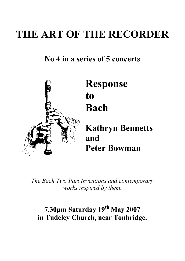# **THE ART OF THE RECORDER**

## **No 4 in a series of 5 concerts**



*The Bach Two Part Inventions and contemporary works inspired by them.*

## **7.30pm Saturday 19 th May 2007 in Tudeley Church, near Tonbridge.**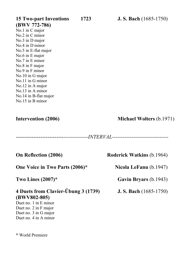**(BWV 772-786)** No.1 in C major No.2 in C minor No.3 in D major No.4 in D minor No.5 in E-flat major No.6 in E major No.7 in E minor No.8 in F major No.9 in F minor No.10 in G major No.11 in G minor No.12 in A major No.13 in A minor No.14 in B-flat major No.15 in B minor

---------------------------*--------------INTERVAL--------------------------------*

**One Voice in Two Parts (2006)\* Nicola LeFanu** (b.1947)

## **4 Duets from Clavier-Äbung 3 (1739) J. S. Bach** (1685-1750) **(BWV802-805)**

Duet no. 1 in E minor Duet no. 2 in F major Duet no. 3 in G major Duet no. 4 in A minor

\* World Premiere

**On Reflection (2006) Roderick Watkins** (b.1964)

**Two Lines (2007)\* Gavin Bryars** (b.1943)

**Intervention (2006) Michael Wolters** (b.1971)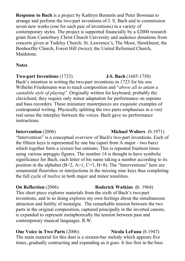**Response to Bach** is a project by Kathryn Bennetts and Peter Bowman to arrange and perform the two-part inventions of J. S. Bach and to commission seven new works (one for each pair of inventions) in a variety of contemporary styles. The project is supported financially by a  $£2000$  research grant from Canterbury Christ Church University and audience donations from concerts given at Tudeley Church; St. Lawrence's, The Moor, Hawkhurst; the Bonhoeffer Church, Forest Hill (twice); the United Reformed Church, Maidstone.

### **Notes**

### **Two-part Inventions** (1723) **J.S. Bach** (1685-1750)

Bach's intention in writing the two-part inventions in 1723 for his son Wilhelm Friedemann was to teach composition and "*above all to attain a cantabile style of playing*". Originally written for keyboard, probably the clavichord, they require only minor adaptation for performance on soprano and bass recorders. These miniature masterpieces are exquisite examples of contrapuntal writing. Physically splitting the two parts emphasises in a very real sense the interplay between the voices. Bach gave no performance instructions.

"Intervention" is a conceptual overview of Bach's two-part inventions. Each of the fifteen keys is represented by one bar (apart from A major - two bars) which together form a sixteen bar ostinato. This is repeated fourteen times using various arpeggio figures. The number 14 is thought to have symbolic significance for Bach, each letter of his name taking a number according to its position in the alphabet  $(B=2, A=1, C=3, H=8)$ . The "Interventions" here are ornamental flourishes or interjections in the missing nine keys thus completing the full cycle of twelve in both major and minor tonalities.

This short piece explores materials from the sixth of Bach's two-part inventions, and in so doing explores my own feelings about the simultaneous attraction and futility of nostalgia. The remarkable tension between the two parts in the original composition, captured principally in the inverted canons, is expanded to represent metaphorically the tension between past and contemporary musical languages. R.W.

### **One Voice in Two Parts (2006)** Nicola LeFanu (b.1947)

The main material for this duet is a sixteen-bar melody which appears five times, gradually contracting and expanding as it goes. It lies first in the bass

### **Intervention** (2006) **Michael Wolters** (b.1971)

**On Reflection** (2006) **Roderick Watkins (**b. 1964)